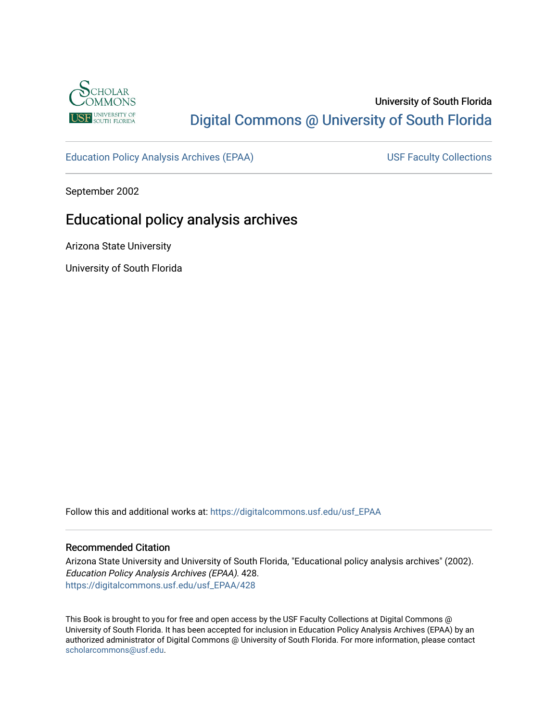

# University of South Florida [Digital Commons @ University of South Florida](https://digitalcommons.usf.edu/)

[Education Policy Analysis Archives \(EPAA\)](https://digitalcommons.usf.edu/usf_EPAA) USF Faculty Collections

September 2002

# Educational policy analysis archives

Arizona State University

University of South Florida

Follow this and additional works at: [https://digitalcommons.usf.edu/usf\\_EPAA](https://digitalcommons.usf.edu/usf_EPAA?utm_source=digitalcommons.usf.edu%2Fusf_EPAA%2F428&utm_medium=PDF&utm_campaign=PDFCoverPages)

### Recommended Citation

Arizona State University and University of South Florida, "Educational policy analysis archives" (2002). Education Policy Analysis Archives (EPAA). 428. [https://digitalcommons.usf.edu/usf\\_EPAA/428](https://digitalcommons.usf.edu/usf_EPAA/428?utm_source=digitalcommons.usf.edu%2Fusf_EPAA%2F428&utm_medium=PDF&utm_campaign=PDFCoverPages)

This Book is brought to you for free and open access by the USF Faculty Collections at Digital Commons @ University of South Florida. It has been accepted for inclusion in Education Policy Analysis Archives (EPAA) by an authorized administrator of Digital Commons @ University of South Florida. For more information, please contact [scholarcommons@usf.edu.](mailto:scholarcommons@usf.edu)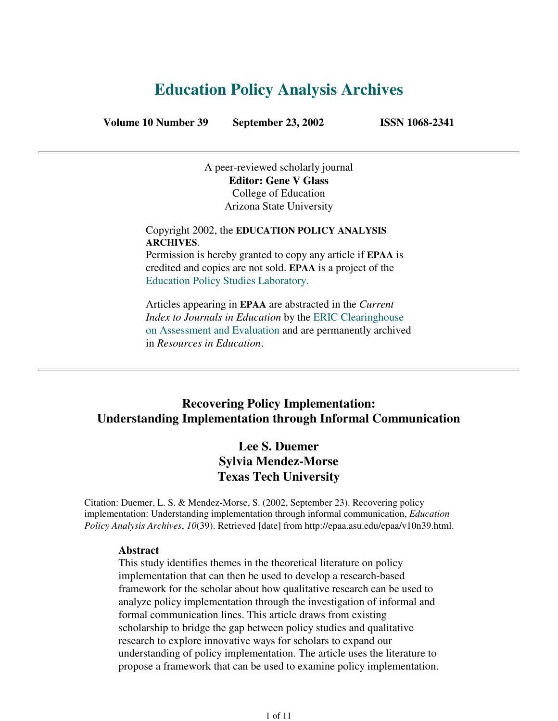# **Education Policy Analysis Archives**

**Volume 10 Number 39 September 23, 2002 ISSN 1068-2341**

A peer-reviewed scholarly journal **Editor: Gene V Glass** College of Education Arizona State University

Copyright 2002, the **EDUCATION POLICY ANALYSIS ARCHIVES**. Permission is hereby granted to copy any article if **EPAA** is

credited and copies are not sold. **EPAA** is a project of the Education Policy Studies Laboratory.

Articles appearing in **EPAA** are abstracted in the *Current Index to Journals in Education* by the ERIC Clearinghouse on Assessment and Evaluation and are permanently archived in *Resources in Education*.

# **Recovering Policy Implementation: Understanding Implementation through Informal Communication**

# **Lee S. Duemer Sylvia Mendez-Morse Texas Tech University**

Citation: Duemer, L. S. & Mendez-Morse, S. (2002, September 23). Recovering policy implementation: Understanding implementation through informal communication, *Education Policy Analysis Archives*, *10*(39). Retrieved [date] from http://epaa.asu.edu/epaa/v10n39.html.

### **Abstract**

This study identifies themes in the theoretical literature on policy implementation that can then be used to develop a research-based framework for the scholar about how qualitative research can be used to analyze policy implementation through the investigation of informal and formal communication lines. This article draws from existing scholarship to bridge the gap between policy studies and qualitative research to explore innovative ways for scholars to expand our understanding of policy implementation. The article uses the literature to propose a framework that can be used to examine policy implementation.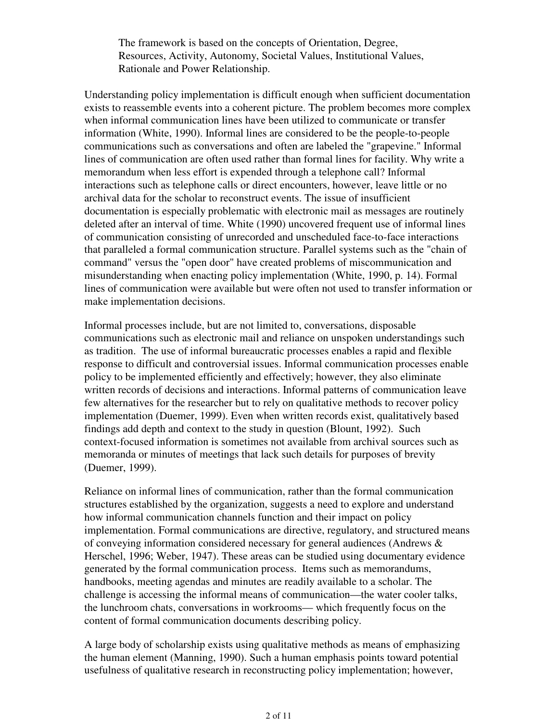The framework is based on the concepts of Orientation, Degree, Resources, Activity, Autonomy, Societal Values, Institutional Values, Rationale and Power Relationship.

Understanding policy implementation is difficult enough when sufficient documentation exists to reassemble events into a coherent picture. The problem becomes more complex when informal communication lines have been utilized to communicate or transfer information (White, 1990). Informal lines are considered to be the people-to-people communications such as conversations and often are labeled the "grapevine." Informal lines of communication are often used rather than formal lines for facility. Why write a memorandum when less effort is expended through a telephone call? Informal interactions such as telephone calls or direct encounters, however, leave little or no archival data for the scholar to reconstruct events. The issue of insufficient documentation is especially problematic with electronic mail as messages are routinely deleted after an interval of time. White (1990) uncovered frequent use of informal lines of communication consisting of unrecorded and unscheduled face-to-face interactions that paralleled a formal communication structure. Parallel systems such as the "chain of command" versus the "open door" have created problems of miscommunication and misunderstanding when enacting policy implementation (White, 1990, p. 14). Formal lines of communication were available but were often not used to transfer information or make implementation decisions.

Informal processes include, but are not limited to, conversations, disposable communications such as electronic mail and reliance on unspoken understandings such as tradition. The use of informal bureaucratic processes enables a rapid and flexible response to difficult and controversial issues. Informal communication processes enable policy to be implemented efficiently and effectively; however, they also eliminate written records of decisions and interactions. Informal patterns of communication leave few alternatives for the researcher but to rely on qualitative methods to recover policy implementation (Duemer, 1999). Even when written records exist, qualitatively based findings add depth and context to the study in question (Blount, 1992). Such context-focused information is sometimes not available from archival sources such as memoranda or minutes of meetings that lack such details for purposes of brevity (Duemer, 1999).

Reliance on informal lines of communication, rather than the formal communication structures established by the organization, suggests a need to explore and understand how informal communication channels function and their impact on policy implementation. Formal communications are directive, regulatory, and structured means of conveying information considered necessary for general audiences (Andrews & Herschel, 1996; Weber, 1947). These areas can be studied using documentary evidence generated by the formal communication process. Items such as memorandums, handbooks, meeting agendas and minutes are readily available to a scholar. The challenge is accessing the informal means of communication—the water cooler talks, the lunchroom chats, conversations in workrooms— which frequently focus on the content of formal communication documents describing policy.

A large body of scholarship exists using qualitative methods as means of emphasizing the human element (Manning, 1990). Such a human emphasis points toward potential usefulness of qualitative research in reconstructing policy implementation; however,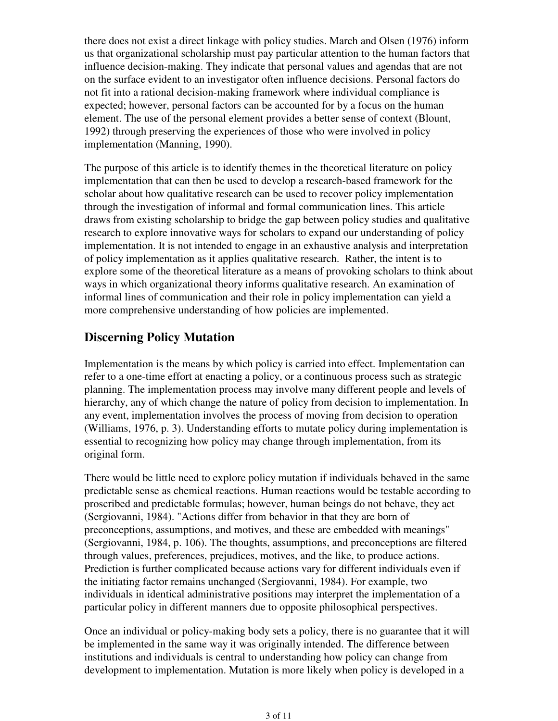there does not exist a direct linkage with policy studies. March and Olsen (1976) inform us that organizational scholarship must pay particular attention to the human factors that influence decision-making. They indicate that personal values and agendas that are not on the surface evident to an investigator often influence decisions. Personal factors do not fit into a rational decision-making framework where individual compliance is expected; however, personal factors can be accounted for by a focus on the human element. The use of the personal element provides a better sense of context (Blount, 1992) through preserving the experiences of those who were involved in policy implementation (Manning, 1990).

The purpose of this article is to identify themes in the theoretical literature on policy implementation that can then be used to develop a research-based framework for the scholar about how qualitative research can be used to recover policy implementation through the investigation of informal and formal communication lines. This article draws from existing scholarship to bridge the gap between policy studies and qualitative research to explore innovative ways for scholars to expand our understanding of policy implementation. It is not intended to engage in an exhaustive analysis and interpretation of policy implementation as it applies qualitative research. Rather, the intent is to explore some of the theoretical literature as a means of provoking scholars to think about ways in which organizational theory informs qualitative research. An examination of informal lines of communication and their role in policy implementation can yield a more comprehensive understanding of how policies are implemented.

# **Discerning Policy Mutation**

Implementation is the means by which policy is carried into effect. Implementation can refer to a one-time effort at enacting a policy, or a continuous process such as strategic planning. The implementation process may involve many different people and levels of hierarchy, any of which change the nature of policy from decision to implementation. In any event, implementation involves the process of moving from decision to operation (Williams, 1976, p. 3). Understanding efforts to mutate policy during implementation is essential to recognizing how policy may change through implementation, from its original form.

There would be little need to explore policy mutation if individuals behaved in the same predictable sense as chemical reactions. Human reactions would be testable according to proscribed and predictable formulas; however, human beings do not behave, they act (Sergiovanni, 1984). "Actions differ from behavior in that they are born of preconceptions, assumptions, and motives, and these are embedded with meanings" (Sergiovanni, 1984, p. 106). The thoughts, assumptions, and preconceptions are filtered through values, preferences, prejudices, motives, and the like, to produce actions. Prediction is further complicated because actions vary for different individuals even if the initiating factor remains unchanged (Sergiovanni, 1984). For example, two individuals in identical administrative positions may interpret the implementation of a particular policy in different manners due to opposite philosophical perspectives.

Once an individual or policy-making body sets a policy, there is no guarantee that it will be implemented in the same way it was originally intended. The difference between institutions and individuals is central to understanding how policy can change from development to implementation. Mutation is more likely when policy is developed in a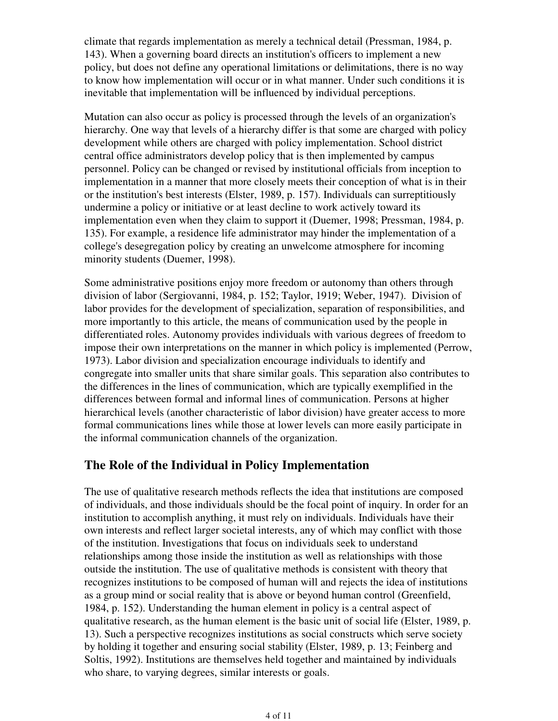climate that regards implementation as merely a technical detail (Pressman, 1984, p. 143). When a governing board directs an institution's officers to implement a new policy, but does not define any operational limitations or delimitations, there is no way to know how implementation will occur or in what manner. Under such conditions it is inevitable that implementation will be influenced by individual perceptions.

Mutation can also occur as policy is processed through the levels of an organization's hierarchy. One way that levels of a hierarchy differ is that some are charged with policy development while others are charged with policy implementation. School district central office administrators develop policy that is then implemented by campus personnel. Policy can be changed or revised by institutional officials from inception to implementation in a manner that more closely meets their conception of what is in their or the institution's best interests (Elster, 1989, p. 157). Individuals can surreptitiously undermine a policy or initiative or at least decline to work actively toward its implementation even when they claim to support it (Duemer, 1998; Pressman, 1984, p. 135). For example, a residence life administrator may hinder the implementation of a college's desegregation policy by creating an unwelcome atmosphere for incoming minority students (Duemer, 1998).

Some administrative positions enjoy more freedom or autonomy than others through division of labor (Sergiovanni, 1984, p. 152; Taylor, 1919; Weber, 1947). Division of labor provides for the development of specialization, separation of responsibilities, and more importantly to this article, the means of communication used by the people in differentiated roles. Autonomy provides individuals with various degrees of freedom to impose their own interpretations on the manner in which policy is implemented (Perrow, 1973). Labor division and specialization encourage individuals to identify and congregate into smaller units that share similar goals. This separation also contributes to the differences in the lines of communication, which are typically exemplified in the differences between formal and informal lines of communication. Persons at higher hierarchical levels (another characteristic of labor division) have greater access to more formal communications lines while those at lower levels can more easily participate in the informal communication channels of the organization.

## **The Role of the Individual in Policy Implementation**

The use of qualitative research methods reflects the idea that institutions are composed of individuals, and those individuals should be the focal point of inquiry. In order for an institution to accomplish anything, it must rely on individuals. Individuals have their own interests and reflect larger societal interests, any of which may conflict with those of the institution. Investigations that focus on individuals seek to understand relationships among those inside the institution as well as relationships with those outside the institution. The use of qualitative methods is consistent with theory that recognizes institutions to be composed of human will and rejects the idea of institutions as a group mind or social reality that is above or beyond human control (Greenfield, 1984, p. 152). Understanding the human element in policy is a central aspect of qualitative research, as the human element is the basic unit of social life (Elster, 1989, p. 13). Such a perspective recognizes institutions as social constructs which serve society by holding it together and ensuring social stability (Elster, 1989, p. 13; Feinberg and Soltis, 1992). Institutions are themselves held together and maintained by individuals who share, to varying degrees, similar interests or goals.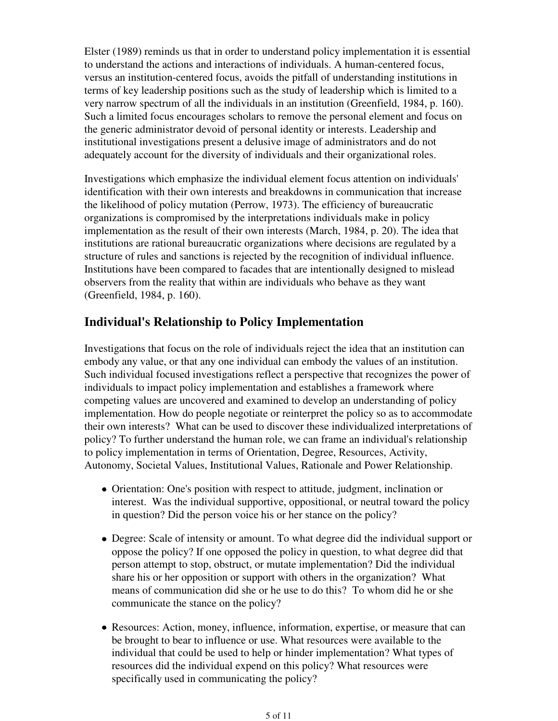Elster (1989) reminds us that in order to understand policy implementation it is essential to understand the actions and interactions of individuals. A human-centered focus, versus an institution-centered focus, avoids the pitfall of understanding institutions in terms of key leadership positions such as the study of leadership which is limited to a very narrow spectrum of all the individuals in an institution (Greenfield, 1984, p. 160). Such a limited focus encourages scholars to remove the personal element and focus on the generic administrator devoid of personal identity or interests. Leadership and institutional investigations present a delusive image of administrators and do not adequately account for the diversity of individuals and their organizational roles.

Investigations which emphasize the individual element focus attention on individuals' identification with their own interests and breakdowns in communication that increase the likelihood of policy mutation (Perrow, 1973). The efficiency of bureaucratic organizations is compromised by the interpretations individuals make in policy implementation as the result of their own interests (March, 1984, p. 20). The idea that institutions are rational bureaucratic organizations where decisions are regulated by a structure of rules and sanctions is rejected by the recognition of individual influence. Institutions have been compared to facades that are intentionally designed to mislead observers from the reality that within are individuals who behave as they want (Greenfield, 1984, p. 160).

# **Individual's Relationship to Policy Implementation**

Investigations that focus on the role of individuals reject the idea that an institution can embody any value, or that any one individual can embody the values of an institution. Such individual focused investigations reflect a perspective that recognizes the power of individuals to impact policy implementation and establishes a framework where competing values are uncovered and examined to develop an understanding of policy implementation. How do people negotiate or reinterpret the policy so as to accommodate their own interests? What can be used to discover these individualized interpretations of policy? To further understand the human role, we can frame an individual's relationship to policy implementation in terms of Orientation, Degree, Resources, Activity, Autonomy, Societal Values, Institutional Values, Rationale and Power Relationship.

- Orientation: One's position with respect to attitude, judgment, inclination or interest. Was the individual supportive, oppositional, or neutral toward the policy in question? Did the person voice his or her stance on the policy?
- Degree: Scale of intensity or amount. To what degree did the individual support or oppose the policy? If one opposed the policy in question, to what degree did that person attempt to stop, obstruct, or mutate implementation? Did the individual share his or her opposition or support with others in the organization? What means of communication did she or he use to do this? To whom did he or she communicate the stance on the policy?
- Resources: Action, money, influence, information, expertise, or measure that can be brought to bear to influence or use. What resources were available to the individual that could be used to help or hinder implementation? What types of resources did the individual expend on this policy? What resources were specifically used in communicating the policy?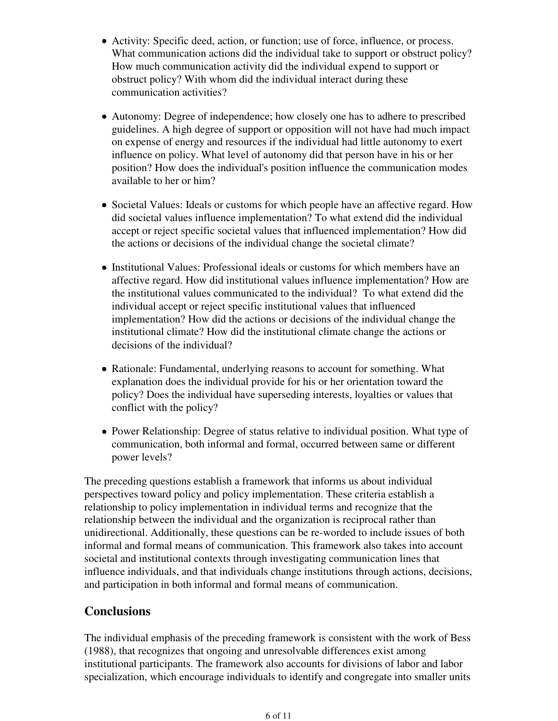- Activity: Specific deed, action, or function; use of force, influence, or process. What communication actions did the individual take to support or obstruct policy? How much communication activity did the individual expend to support or obstruct policy? With whom did the individual interact during these communication activities?
- Autonomy: Degree of independence; how closely one has to adhere to prescribed guidelines. A high degree of support or opposition will not have had much impact on expense of energy and resources if the individual had little autonomy to exert influence on policy. What level of autonomy did that person have in his or her position? How does the individual's position influence the communication modes available to her or him?
- Societal Values: Ideals or customs for which people have an affective regard. How did societal values influence implementation? To what extend did the individual accept or reject specific societal values that influenced implementation? How did the actions or decisions of the individual change the societal climate?
- Institutional Values: Professional ideals or customs for which members have an affective regard. How did institutional values influence implementation? How are the institutional values communicated to the individual? To what extend did the individual accept or reject specific institutional values that influenced implementation? How did the actions or decisions of the individual change the institutional climate? How did the institutional climate change the actions or decisions of the individual?
- Rationale: Fundamental, underlying reasons to account for something. What explanation does the individual provide for his or her orientation toward the policy? Does the individual have superseding interests, loyalties or values that conflict with the policy?
- Power Relationship: Degree of status relative to individual position. What type of communication, both informal and formal, occurred between same or different power levels?

The preceding questions establish a framework that informs us about individual perspectives toward policy and policy implementation. These criteria establish a relationship to policy implementation in individual terms and recognize that the relationship between the individual and the organization is reciprocal rather than unidirectional. Additionally, these questions can be re-worded to include issues of both informal and formal means of communication. This framework also takes into account societal and institutional contexts through investigating communication lines that influence individuals, and that individuals change institutions through actions, decisions, and participation in both informal and formal means of communication.

# **Conclusions**

The individual emphasis of the preceding framework is consistent with the work of Bess (1988), that recognizes that ongoing and unresolvable differences exist among institutional participants. The framework also accounts for divisions of labor and labor specialization, which encourage individuals to identify and congregate into smaller units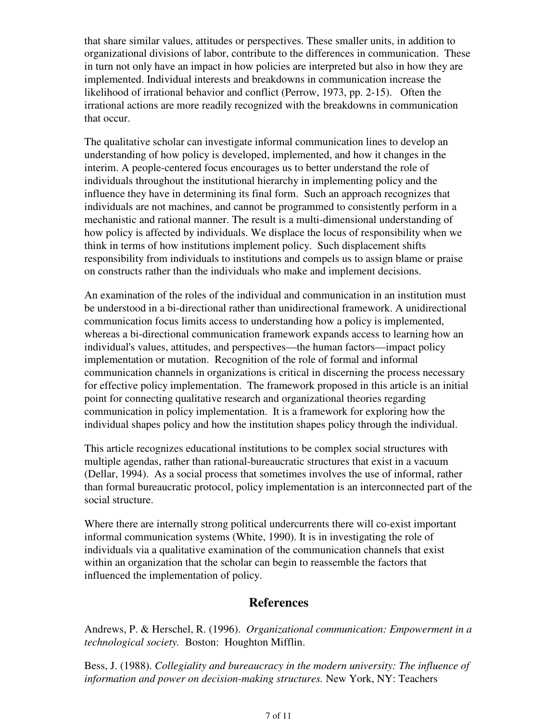that share similar values, attitudes or perspectives. These smaller units, in addition to organizational divisions of labor, contribute to the differences in communication. These in turn not only have an impact in how policies are interpreted but also in how they are implemented. Individual interests and breakdowns in communication increase the likelihood of irrational behavior and conflict (Perrow, 1973, pp. 2-15). Often the irrational actions are more readily recognized with the breakdowns in communication that occur.

The qualitative scholar can investigate informal communication lines to develop an understanding of how policy is developed, implemented, and how it changes in the interim. A people-centered focus encourages us to better understand the role of individuals throughout the institutional hierarchy in implementing policy and the influence they have in determining its final form. Such an approach recognizes that individuals are not machines, and cannot be programmed to consistently perform in a mechanistic and rational manner. The result is a multi-dimensional understanding of how policy is affected by individuals. We displace the locus of responsibility when we think in terms of how institutions implement policy. Such displacement shifts responsibility from individuals to institutions and compels us to assign blame or praise on constructs rather than the individuals who make and implement decisions.

An examination of the roles of the individual and communication in an institution must be understood in a bi-directional rather than unidirectional framework. A unidirectional communication focus limits access to understanding how a policy is implemented, whereas a bi-directional communication framework expands access to learning how an individual's values, attitudes, and perspectives—the human factors—impact policy implementation or mutation. Recognition of the role of formal and informal communication channels in organizations is critical in discerning the process necessary for effective policy implementation. The framework proposed in this article is an initial point for connecting qualitative research and organizational theories regarding communication in policy implementation. It is a framework for exploring how the individual shapes policy and how the institution shapes policy through the individual.

This article recognizes educational institutions to be complex social structures with multiple agendas, rather than rational-bureaucratic structures that exist in a vacuum (Dellar, 1994). As a social process that sometimes involves the use of informal, rather than formal bureaucratic protocol, policy implementation is an interconnected part of the social structure.

Where there are internally strong political undercurrents there will co-exist important informal communication systems (White, 1990). It is in investigating the role of individuals via a qualitative examination of the communication channels that exist within an organization that the scholar can begin to reassemble the factors that influenced the implementation of policy.

## **References**

Andrews, P. & Herschel, R. (1996). *Organizational communication: Empowerment in a technological society.* Boston: Houghton Mifflin.

Bess, J. (1988). *Collegiality and bureaucracy in the modern university: The influence of information and power on decision-making structures.* New York, NY: Teachers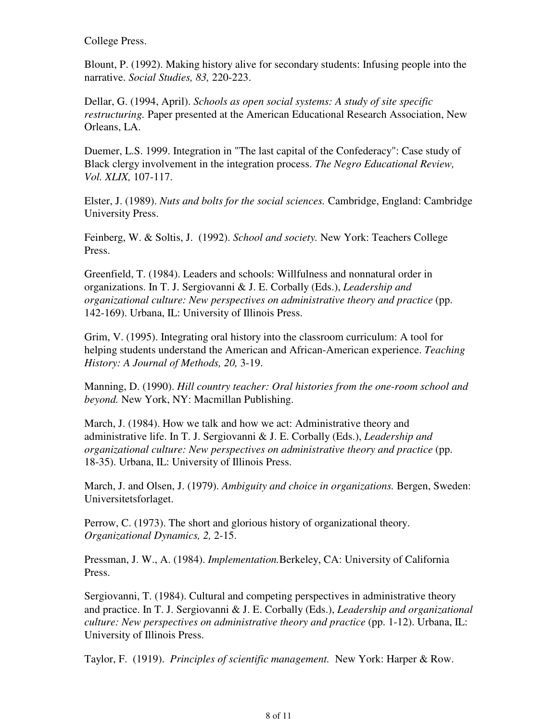College Press.

Blount, P. (1992). Making history alive for secondary students: Infusing people into the narrative. *Social Studies, 83,* 220-223.

Dellar, G. (1994, April). *Schools as open social systems: A study of site specific restructuring.* Paper presented at the American Educational Research Association, New Orleans, LA.

Duemer, L.S. 1999. Integration in "The last capital of the Confederacy": Case study of Black clergy involvement in the integration process. *The Negro Educational Review, Vol. XLIX,* 107-117.

Elster, J. (1989). *Nuts and bolts for the social sciences.* Cambridge, England: Cambridge University Press.

Feinberg, W. & Soltis, J. (1992). *School and society.* New York: Teachers College Press.

Greenfield, T. (1984). Leaders and schools: Willfulness and nonnatural order in organizations. In T. J. Sergiovanni & J. E. Corbally (Eds.), *Leadership and organizational culture: New perspectives on administrative theory and practice* (pp. 142-169). Urbana, IL: University of Illinois Press.

Grim, V. (1995). Integrating oral history into the classroom curriculum: A tool for helping students understand the American and African-American experience. *Teaching History: A Journal of Methods, 20,* 3-19.

Manning, D. (1990). *Hill country teacher: Oral histories from the one-room school and beyond.* New York, NY: Macmillan Publishing.

March, J. (1984). How we talk and how we act: Administrative theory and administrative life. In T. J. Sergiovanni & J. E. Corbally (Eds.), *Leadership and organizational culture: New perspectives on administrative theory and practice* (pp. 18-35). Urbana, IL: University of Illinois Press.

March, J. and Olsen, J. (1979). *Ambiguity and choice in organizations.* Bergen, Sweden: Universitetsforlaget.

Perrow, C. (1973). The short and glorious history of organizational theory. *Organizational Dynamics, 2,* 2-15.

Pressman, J. W., A. (1984). *Implementation.*Berkeley, CA: University of California Press.

Sergiovanni, T. (1984). Cultural and competing perspectives in administrative theory and practice. In T. J. Sergiovanni & J. E. Corbally (Eds.), *Leadership and organizational culture: New perspectives on administrative theory and practice* (pp. 1-12). Urbana, IL: University of Illinois Press.

Taylor, F. (1919). *Principles of scientific management.* New York: Harper & Row.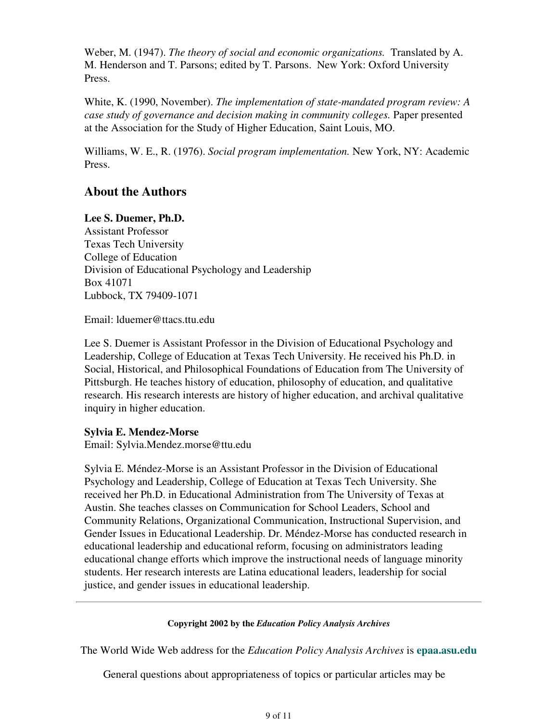Weber, M. (1947). *The theory of social and economic organizations.* Translated by A. M. Henderson and T. Parsons; edited by T. Parsons. New York: Oxford University Press.

White, K. (1990, November). *The implementation of state-mandated program review: A case study of governance and decision making in community colleges.* Paper presented at the Association for the Study of Higher Education, Saint Louis, MO.

Williams, W. E., R. (1976). *Social program implementation.* New York, NY: Academic Press.

# **About the Authors**

### **Lee S. Duemer, Ph.D.**

Assistant Professor Texas Tech University College of Education Division of Educational Psychology and Leadership Box 41071 Lubbock, TX 79409-1071

Email: lduemer@ttacs.ttu.edu

Lee S. Duemer is Assistant Professor in the Division of Educational Psychology and Leadership, College of Education at Texas Tech University. He received his Ph.D. in Social, Historical, and Philosophical Foundations of Education from The University of Pittsburgh. He teaches history of education, philosophy of education, and qualitative research. His research interests are history of higher education, and archival qualitative inquiry in higher education.

### **Sylvia E. Mendez-Morse**

Email: Sylvia.Mendez.morse@ttu.edu

Sylvia E. Méndez-Morse is an Assistant Professor in the Division of Educational Psychology and Leadership, College of Education at Texas Tech University. She received her Ph.D. in Educational Administration from The University of Texas at Austin. She teaches classes on Communication for School Leaders, School and Community Relations, Organizational Communication, Instructional Supervision, and Gender Issues in Educational Leadership. Dr. Méndez-Morse has conducted research in educational leadership and educational reform, focusing on administrators leading educational change efforts which improve the instructional needs of language minority students. Her research interests are Latina educational leaders, leadership for social justice, and gender issues in educational leadership.

### **Copyright 2002 by the** *Education Policy Analysis Archives*

The World Wide Web address for the *Education Policy Analysis Archives* is **epaa.asu.edu**

General questions about appropriateness of topics or particular articles may be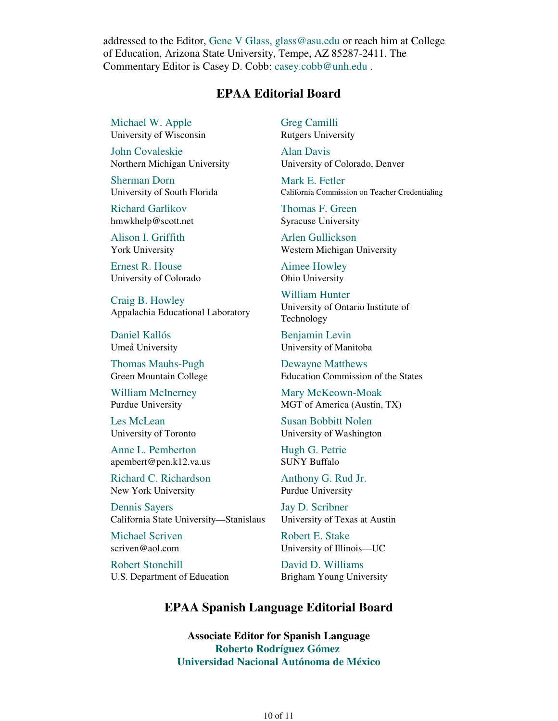addressed to the Editor, Gene V Glass, glass@asu.edu or reach him at College of Education, Arizona State University, Tempe, AZ 85287-2411. The Commentary Editor is Casey D. Cobb: casey.cobb@unh.edu .

### **EPAA Editorial Board**

Michael W. Apple University of Wisconsin

John Covaleskie Northern Michigan University

Sherman Dorn University of South Florida

Richard Garlikov hmwkhelp@scott.net

Alison I. Griffith York University

Ernest R. House University of Colorado

Craig B. Howley Appalachia Educational Laboratory

Daniel Kallós Umeå University

Thomas Mauhs-Pugh Green Mountain College

William McInerney Purdue University

Les McLean University of Toronto

Anne L. Pemberton apembert@pen.k12.va.us

Richard C. Richardson New York University

Dennis Sayers California State University—Stanislaus

Michael Scriven scriven@aol.com

Robert Stonehill U.S. Department of Education Greg Camilli Rutgers University

Alan Davis University of Colorado, Denver

Mark E. Fetler California Commission on Teacher Credentialing

Thomas F. Green Syracuse University

Arlen Gullickson Western Michigan University

Aimee Howley Ohio University

William Hunter University of Ontario Institute of Technology

Benjamin Levin University of Manitoba

Dewayne Matthews Education Commission of the States

Mary McKeown-Moak MGT of America (Austin, TX)

Susan Bobbitt Nolen University of Washington

Hugh G. Petrie SUNY Buffalo

Anthony G. Rud Jr. Purdue University

Jay D. Scribner University of Texas at Austin

Robert E. Stake University of Illinois—UC

David D. Williams Brigham Young University

## **EPAA Spanish Language Editorial Board**

**Associate Editor for Spanish Language Roberto Rodríguez Gómez Universidad Nacional Autónoma de México**